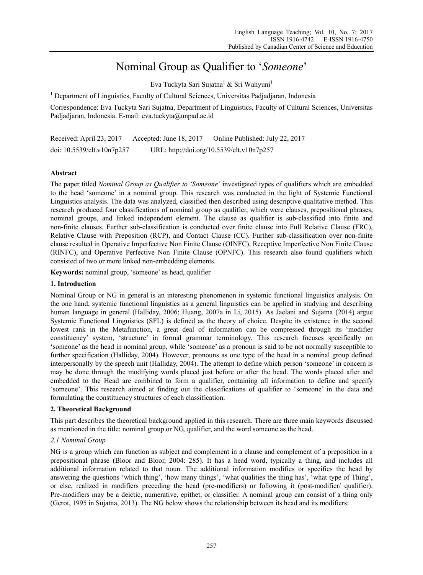# Nominal Group as Qualifier to '*Someone*'

Eva Tuckyta Sari Sujatna<sup>1</sup> & Sri Wahyuni<sup>1</sup>

<sup>1</sup> Department of Linguistics, Faculty of Cultural Sciences, Universitas Padjadjaran, Indonesia

Correspondence: Eva Tuckyta Sari Sujatna, Department of Linguistics, Faculty of Cultural Sciences, Universitas Padjadjaran, Indonesia. E-mail: eva.tuckyta@unpad.ac.id

Received: April 23, 2017 Accepted: June 18, 2017 Online Published: July 22, 2017 doi: 10.5539/elt.v10n7p257 URL: http://doi.org/10.5539/elt.v10n7p257

# **Abstract**

The paper titled *Nominal Group as Qualifier to 'Someone'* investigated types of qualifiers which are embedded to the head 'someone' in a nominal group. This research was conducted in the light of Systemic Functional Linguistics analysis. The data was analyzed, classified then described using descriptive qualitative method. This research produced four classifications of nominal group as qualifier, which were clauses, prepositional phrases, nominal groups, and linked independent element. The clause as qualifier is sub-classified into finite and non-finite clauses. Further sub-classification is conducted over finite clause into Full Relative Clause (FRC), Relative Clause with Preposition (RCP), and Contact Clause (CC). Further sub-classification over non-finite clause resulted in Operative Imperfective Non Finite Clause (OINFC), Receptive Imperfective Non Finite Clause (RINFC), and Operative Perfective Non Finite Clause (OPNFC). This research also found qualifiers which consisted of two or more linked non-embedding elements.

**Keywords:** nominal group, 'someone' as head, qualifier

# **1. Introduction**

Nominal Group or NG in general is an interesting phenomenon in systemic functional linguistics analysis. On the one hand, systemic functional linguistics as a general linguistics can be applied in studying and describing human language in general (Halliday, 2006; Huang, 2007a in Li, 2015). As Jaelani and Sujatna (2014) argue Systemic Functional Linguistics (SFL) is defined as the theory of choice. Despite its existence in the second lowest rank in the Metafunction, a great deal of information can be compressed through its 'modifier constituency' system, 'structure' in formal grammar terminology. This research focuses specifically on 'someone' as the head in nominal group, while 'someone' as a pronoun is said to be not normally susceptible to further specification (Halliday, 2004). However, pronouns as one type of the head in a nominal group defined interpersonally by the speech unit (Halliday, 2004). The attempt to define which person 'someone' in concern is may be done through the modifying words placed just before or after the head. The words placed after and embedded to the Head are combined to form a qualifier, containing all information to define and specify 'someone'. This research aimed at finding out the classifications of qualifier to 'someone' in the data and formulating the constituency structures of each classification.

#### **2. Theoretical Background**

This part describes the theoretical background applied in this research. There are three main keywords discussed as mentioned in the title: nominal group or NG, qualifier, and the word someone as the head.

# *2.1 Nominal Group*

NG is a group which can function as subject and complement in a clause and complement of a preposition in a prepositional phrase (Bloor and Bloor, 2004: 285). It has a head word, typically a thing, and includes all additional information related to that noun. The additional information modifies or specifies the head by answering the questions 'which thing', 'how many things', 'what qualities the thing has', 'what type of Thing', or else, realized in modifiers preceding the head (pre-modifiers) or following it (post-modifier/ qualifier). Pre-modifiers may be a deictic, numerative, epithet, or classifier. A nominal group can consist of a thing only (Gerot, 1995 in Sujatna, 2013). The NG below shows the relationship between its head and its modifiers: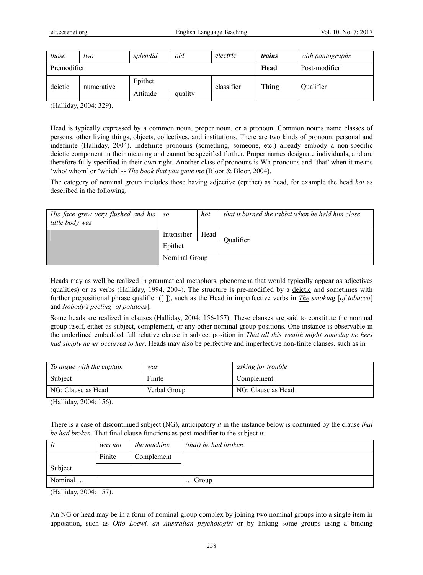| those       | two        | splendid | old           | electric   | trains | with pantographs |
|-------------|------------|----------|---------------|------------|--------|------------------|
| Premodifier |            | Head     | Post-modifier |            |        |                  |
| deictic     | numerative | Epithet  |               | classifier | Thing  | Qualifier        |
|             |            | Attitude | quality       |            |        |                  |

(Halliday, 2004: 329).

Head is typically expressed by a common noun, proper noun, or a pronoun. Common nouns name classes of persons, other living things, objects, collectives, and institutions. There are two kinds of pronoun: personal and indefinite (Halliday, 2004). Indefinite pronouns (something, someone, etc.) already embody a non-specific deictic component in their meaning and cannot be specified further. Proper names designate individuals, and are therefore fully specified in their own right. Another class of pronouns is Wh-pronouns and 'that' when it means 'who/ whom' or 'which' -- *The book that you gave me* (Bloor & Bloor, 2004).

The category of nominal group includes those having adjective (epithet) as head, for example the head *hot* as described in the following.

| His face grew very flushed and his $\vert$ so<br>little body was |             | hot  | that it burned the rabbit when he held him close |  |
|------------------------------------------------------------------|-------------|------|--------------------------------------------------|--|
|                                                                  | Intensifier | Head | Qualifier                                        |  |
|                                                                  | Epithet     |      |                                                  |  |
| Nominal Group                                                    |             |      |                                                  |  |

Heads may as well be realized in grammatical metaphors, phenomena that would typically appear as adjectives (qualities) or as verbs (Halliday, 1994, 2004). The structure is pre-modified by a deictic and sometimes with further prepositional phrase qualifier ([ ]), such as the Head in imperfective verbs in *The smoking* [*of tobacco*] and *Nobody's peeling* [*of potatoes*]*.*

Some heads are realized in clauses (Halliday, 2004: 156-157). These clauses are said to constitute the nominal group itself, either as subject, complement, or any other nominal group positions. One instance is observable in the underlined embedded full relative clause in subject position in *That all this wealth might someday be hers had simply never occurred to her*. Heads may also be perfective and imperfective non-finite clauses, such as in

| To argue with the captain | was          | asking for trouble |
|---------------------------|--------------|--------------------|
| Subject                   | Finite       | Complement         |
| NG: Clause as Head        | Verbal Group | NG: Clause as Head |

(Halliday, 2004: 156).

There is a case of discontinued subject (NG), anticipatory *it* in the instance below is continued by the clause *that he had broken.* That final clause functions as post-modifier to the subject *it.* 

| $\vert$ It | was not                                                                   | the machine | (that) he had broken |  |  |  |
|------------|---------------------------------------------------------------------------|-------------|----------------------|--|--|--|
|            | Finite                                                                    | Complement  |                      |  |  |  |
| Subject    |                                                                           |             |                      |  |  |  |
| Nominal    |                                                                           |             | $\ldots$ Group       |  |  |  |
| $-1$       | $\bullet \bullet \bullet \bullet \bullet \bullet \bullet \bullet \bullet$ |             |                      |  |  |  |

(Halliday, 2004: 157).

An NG or head may be in a form of nominal group complex by joining two nominal groups into a single item in apposition, such as *Otto Loewi, an Australian psychologist* or by linking some groups using a binding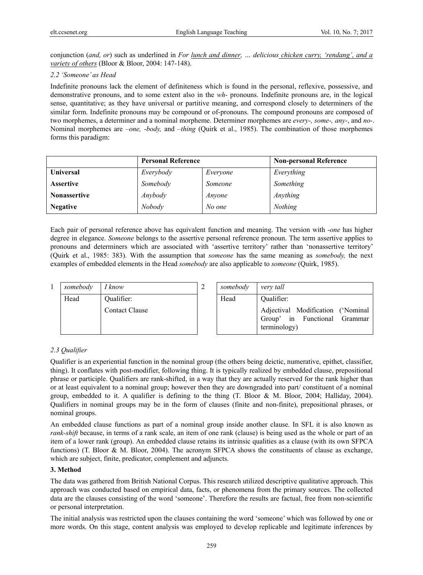conjunction (*and, or*) such as underlined in *For lunch and dinner, … delicious chicken curry, 'rendang', and a variety of others* (Bloor & Bloor, 2004: 147-148).

## *2.2 'Someone' as Head*

Indefinite pronouns lack the element of definiteness which is found in the personal, reflexive, possessive, and demonstrative pronouns, and to some extent also in the *wh-* pronouns. Indefinite pronouns are, in the logical sense, quantitative; as they have universal or partitive meaning, and correspond closely to determiners of the similar form. Indefinite pronouns may be compound or of-pronouns. The compound pronouns are composed of two morphemes, a determiner and a nominal morpheme. Determiner morphemes are *every-, some-, any-*, and *no-*. Nominal morphemes are *–one, -body,* and *–thing* (Quirk et al., 1985). The combination of those morphemes forms this paradigm:

|                     | <b>Personal Reference</b> |          | <b>Non-personal Reference</b> |
|---------------------|---------------------------|----------|-------------------------------|
| <b>Universal</b>    | Everybody                 | Everyone | Everything                    |
| <b>Assertive</b>    | Somebody                  | Someone  | Something                     |
| <b>Nonassertive</b> | Anybody                   | Anvone   | Anything                      |
| <b>Negative</b>     | Nobody                    | No one   | Nothing                       |

Each pair of personal reference above has equivalent function and meaning. The version with *-one* has higher degree in elegance. *Someone* belongs to the assertive personal reference pronoun. The term assertive applies to pronouns and determiners which are associated with 'assertive territory' rather than 'nonassertive territory' (Quirk et al., 1985: 383). With the assumption that *someone* has the same meaning as *somebody,* the next examples of embedded elements in the Head *somebody* are also applicable to *someone* (Quirk, 1985).

| somebody | I know                | ∠ | somebody | very tall                                                                         |
|----------|-----------------------|---|----------|-----------------------------------------------------------------------------------|
| Head     | Qualifier:            |   | Head     | Qualifier:                                                                        |
|          | <b>Contact Clause</b> |   |          | Adjectival Modification ('Nominal<br>Group' in Functional Grammar<br>terminology) |

# *2.3 Qualifier*

Qualifier is an experiential function in the nominal group (the others being deictic, numerative, epithet, classifier, thing). It conflates with post-modifier, following thing. It is typically realized by embedded clause, prepositional phrase or participle. Qualifiers are rank-shifted, in a way that they are actually reserved for the rank higher than or at least equivalent to a nominal group; however then they are downgraded into part/ constituent of a nominal group, embedded to it. A qualifier is defining to the thing (T. Bloor & M. Bloor, 2004; Halliday, 2004). Qualifiers in nominal groups may be in the form of clauses (finite and non-finite), prepositional phrases, or nominal groups.

An embedded clause functions as part of a nominal group inside another clause. In SFL it is also known as *rank-shift* because, in terms of a rank scale, an item of one rank (clause) is being used as the whole or part of an item of a lower rank (group). An embedded clause retains its intrinsic qualities as a clause (with its own SFPCA functions) (T. Bloor & M. Bloor, 2004). The acronym SFPCA shows the constituents of clause as exchange, which are subject, finite, predicator, complement and adjuncts.

# **3. Method**

The data was gathered from British National Corpus. This research utilized descriptive qualitative approach. This approach was conducted based on empirical data, facts, or phenomena from the primary sources. The collected data are the clauses consisting of the word 'someone'. Therefore the results are factual, free from non-scientific or personal interpretation.

The initial analysis was restricted upon the clauses containing the word 'someone' which was followed by one or more words. On this stage, content analysis was employed to develop replicable and legitimate inferences by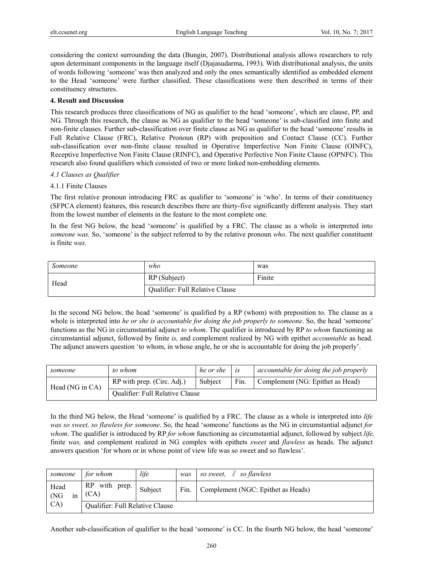considering the context surrounding the data (Bungin, 2007). Distributional analysis allows researchers to rely upon determinant components in the language itself (Djajasudarma, 1993). With distributional analysis, the units of words following 'someone' was then analyzed and only the ones semantically identified as embedded element to the Head 'someone' were further classified. These classifications were then described in terms of their constituency structures.

# **4. Result and Discussion**

This research produces three classifications of NG as qualifier to the head 'someone', which are clause, PP, and NG. Through this research, the clause as NG as qualifier to the head 'someone' is sub-classified into finite and non-finite clauses. Further sub-classification over finite clause as NG as qualifier to the head 'someone' results in Full Relative Clause (FRC), Relative Pronoun (RP) with preposition and Contact Clause (CC). Further sub-classification over non-finite clause resulted in Operative Imperfective Non Finite Clause (OINFC), Receptive Imperfective Non Finite Clause (RINFC), and Operative Perfective Non Finite Clause (OPNFC). This research also found qualifiers which consisted of two or more linked non-embedding elements.

## *4.1 Clauses as Qualifier*

## 4.1.1 Finite Clauses

The first relative pronoun introducing FRC as qualifier to 'someone' is 'who'. In terms of their constituency (SFPCA element) features, this research describes there are thirty-five significantly different analysis. They start from the lowest number of elements in the feature to the most complete one.

In the first NG below, the head 'someone' is qualified by a FRC. The clause as a whole is interpreted into *someone was.* So, 'someone' is the subject referred to by the relative pronoun *who*. The next qualifier constituent is finite *was.* 

| Someone | who                             | was    |
|---------|---------------------------------|--------|
| Head    | RP (Subject)                    | Finite |
|         | Qualifier: Full Relative Clause |        |

In the second NG below, the head 'someone' is qualified by a RP (whom) with preposition to. The clause as a whole is interpreted into *he or she is accountable for doing the job properly to someone*. So, the head 'someone' functions as the NG in circumstantial adjunct *to whom*. The qualifier is introduced by RP *to whom* functioning as circumstantial adjunct, followed by finite *is,* and complement realized by NG with epithet *accountable* as head. The adjunct answers question 'to whom, in whose angle, he or she is accountable for doing the job properly'.

| someone         | to whom                         | he or she |      | accountable for doing the job properly |  |
|-----------------|---------------------------------|-----------|------|----------------------------------------|--|
| Head (NG in CA) | RP with prep. (Circ. Adj.)      | Subject   | Fin. | Complement (NG: Epithet as Head)       |  |
|                 | Qualifier: Full Relative Clause |           |      |                                        |  |

In the third NG below, the Head 'someone' is qualified by a FRC. The clause as a whole is interpreted into *life was so sweet, so flawless for someone*. So, the head 'someone' functions as the NG in circumstantial adjunct *for whom*. The qualifier is introduced by RP *for whom* functioning as circumstantial adjunct, followed by subject *life,*  finite *was,* and complement realized in NG complex with epithets *sweet* and *flawless* as heads. The adjunct answers question 'for whom or in whose point of view life was so sweet and so flawless'.

| someone            | for whom                        | life    | was  | so sweet, $\parallel$ so flawless  |
|--------------------|---------------------------------|---------|------|------------------------------------|
| Head<br>(NG)<br>in | RP with prep.<br>(CA)           | Subject | Fin. | Complement (NGC: Epithet as Heads) |
| CA)                | Qualifier: Full Relative Clause |         |      |                                    |

Another sub-classification of qualifier to the head 'someone' is CC. In the fourth NG below, the head 'someone'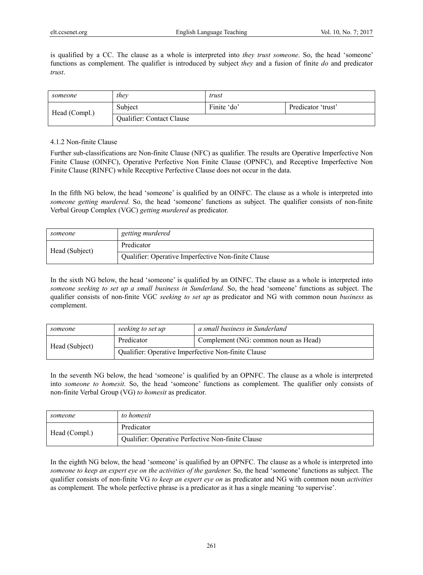is qualified by a CC. The clause as a whole is interpreted into *they trust someone*. So, the head 'someone' functions as complement. The qualifier is introduced by subject *they* and a fusion of finite *do* and predicator *trust*.

| someone       | thev                      | trust       |                    |
|---------------|---------------------------|-------------|--------------------|
| Head (Compl.) | Subject                   | Finite 'do' | Predicator 'trust' |
|               | Qualifier: Contact Clause |             |                    |

## 4.1.2 Non-finite Clause

Further sub-classifications are Non-finite Clause (NFC) as qualifier. The results are Operative Imperfective Non Finite Clause (OINFC), Operative Perfective Non Finite Clause (OPNFC), and Receptive Imperfective Non Finite Clause (RINFC) while Receptive Perfective Clause does not occur in the data.

In the fifth NG below, the head 'someone' is qualified by an OINFC. The clause as a whole is interpreted into *someone getting murdered.* So, the head 'someone' functions as subject. The qualifier consists of non-finite Verbal Group Complex (VGC) *getting murdered* as predicator.

| someone        | getting murdered                                    |
|----------------|-----------------------------------------------------|
| Head (Subject) | Predicator                                          |
|                | Qualifier: Operative Imperfective Non-finite Clause |

In the sixth NG below, the head 'someone' is qualified by an OINFC. The clause as a whole is interpreted into *someone seeking to set up a small business in Sunderland.* So, the head 'someone' functions as subject. The qualifier consists of non-finite VGC *seeking to set up* as predicator and NG with common noun *business* as complement.

| someone        | seeking to set up                                   | a small business in Sunderland       |  |
|----------------|-----------------------------------------------------|--------------------------------------|--|
| Head (Subject) | Predicator                                          | Complement (NG: common noun as Head) |  |
|                | Qualifier: Operative Imperfective Non-finite Clause |                                      |  |

In the seventh NG below, the head 'someone' is qualified by an OPNFC. The clause as a whole is interpreted into *someone to homesit.* So, the head 'someone' functions as complement. The qualifier only consists of non-finite Verbal Group (VG) *to homesit* as predicator*.*

| someone       | to homesit                                        |
|---------------|---------------------------------------------------|
| Head (Compl.) | Predicator                                        |
|               | Qualifier: Operative Perfective Non-finite Clause |

In the eighth NG below, the head 'someone' is qualified by an OPNFC. The clause as a whole is interpreted into *someone to keep an expert eye on the activities of the gardener.* So, the head 'someone' functions as subject. The qualifier consists of non-finite VG *to keep an expert eye on* as predicator and NG with common noun *activities* as complement*.* The whole perfective phrase is a predicator as it has a single meaning 'to supervise'.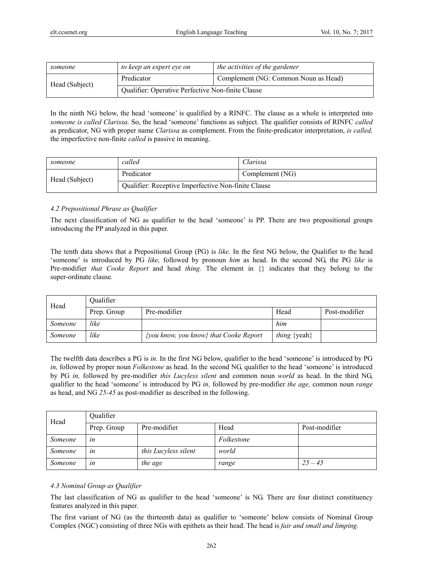| someone        | to keep an expert eye on                           | the activities of the gardener |  |  |
|----------------|----------------------------------------------------|--------------------------------|--|--|
| Head (Subject) | Complement (NG: Common Noun as Head)<br>Predicator |                                |  |  |
|                | Qualifier: Operative Perfective Non-finite Clause  |                                |  |  |

In the ninth NG below, the head 'someone' is qualified by a RINFC. The clause as a whole is interpreted into *someone is called Clarissa.* So, the head 'someone' functions as subject. The qualifier consists of RINFC *called*  as predicator, NG with proper name *Clarissa* as complement. From the finite-predicator interpretation, *is called,*  the imperfective non-finite *called* is passive in meaning.

| someone        | called                                              | Clarissa |  |
|----------------|-----------------------------------------------------|----------|--|
| Head (Subject) | Predicator<br>Complement (NG)                       |          |  |
|                | Qualifier: Receptive Imperfective Non-finite Clause |          |  |

## *4.2 Prepositional Phrase as Qualifier*

The next classification of NG as qualifier to the head 'someone' is PP. There are two prepositional groups introducing the PP analyzed in this paper.

The tenth data shows that a Prepositional Group (PG) is *like.* In the first NG below, the Qualifier to the head 'someone' is introduced by PG *like,* followed by pronoun *him* as head. In the second NG, the PG *like* is Pre-modifier *that Cooke Report* and head *thing*. The element in {} indicates that they belong to the super-ordinate clause.

| Head    | Qualifier   |                                        |                             |               |  |  |  |  |  |
|---------|-------------|----------------------------------------|-----------------------------|---------------|--|--|--|--|--|
|         | Prep. Group | Pre-modifier                           | Head                        | Post-modifier |  |  |  |  |  |
| Someone | like        |                                        | him                         |               |  |  |  |  |  |
| Someone | like        | {you know, you know} that Cooke Report | <i>thing</i> $\{$ yeah $\}$ |               |  |  |  |  |  |

The twelfth data describes a PG is *in.* In the first NG below, qualifier to the head 'someone' is introduced by PG *in,* followed by proper noun *Folkestone* as head. In the second NG, qualifier to the head 'someone' is introduced by PG *in,* followed by pre-modifier *this Lucyless silent* and common noun *world* as head. In the third NG, qualifier to the head 'someone' is introduced by PG *in,* followed by pre-modifier *the age,* common noun *range*  as head, and NG *25-45* as post-modifier as described in the following.

| Head    | Qualifier   |                      |            |               |  |  |  |  |  |
|---------|-------------|----------------------|------------|---------------|--|--|--|--|--|
|         | Prep. Group | Pre-modifier         | Head       | Post-modifier |  |  |  |  |  |
| Someone | in          |                      | Folkestone |               |  |  |  |  |  |
| Someone | in          | this Lucyless silent | world      |               |  |  |  |  |  |
| Someone | ın          | the age              | range      | $25 - 45$     |  |  |  |  |  |

# *4.3 Nominal Group as Qualifier*

The last classification of NG as qualifier to the head 'someone' is NG. There are four distinct constituency features analyzed in this paper.

The first variant of NG (as the thirteenth data) as qualifier to 'someone' below consists of Nominal Group Complex (NGC) consisting of three NGs with epithets as their head. The head is *fair and small and limping.*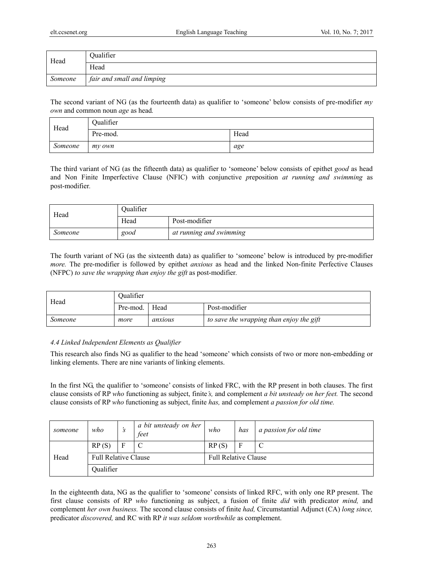| Head    | Qualifier                  |
|---------|----------------------------|
|         | Head                       |
| Someone | fair and small and limping |

The second variant of NG (as the fourteenth data) as qualifier to 'someone' below consists of pre-modifier *my own* and common noun *age* as head*.*

| Head    | Qualifier |      |  |  |  |  |
|---------|-----------|------|--|--|--|--|
|         | Pre-mod.  | Head |  |  |  |  |
| Someone | my own    | age  |  |  |  |  |

The third variant of NG (as the fifteenth data) as qualifier to 'someone' below consists of epithet *good* as head and Non Finite Imperfective Clause (NFIC) with conjunctive *p*reposition *at running and swimming* as post-modifier*.* 

| Head                  | Qualifier |                         |  |  |  |
|-----------------------|-----------|-------------------------|--|--|--|
| Post-modifier<br>Head |           |                         |  |  |  |
| Someone               | good      | at running and swimming |  |  |  |

The fourth variant of NG (as the sixteenth data) as qualifier to 'someone' below is introduced by pre-modifier *more.* The pre-modifier is followed by epithet *anxious* as head and the linked Non-finite Perfective Clauses (NFPC) *to save the wrapping than enjoy the gift* as post-modifier*.* 

| Head    | Oualifier |               |                                          |  |  |
|---------|-----------|---------------|------------------------------------------|--|--|
|         | Pre-mod.  | Post-modifier |                                          |  |  |
| Someone | more      | anxious       | to save the wrapping than enjoy the gift |  |  |

#### *4.4 Linked Independent Elements as Qualifier*

This research also finds NG as qualifier to the head 'someone' which consists of two or more non-embedding or linking elements. There are nine variants of linking elements.

In the first NG, the qualifier to 'someone' consists of linked FRC, with the RP present in both clauses. The first clause consists of RP *who* functioning as subject, finite*'s,* and complement *a bit unsteady on her feet.* The second clause consists of RP *who* functioning as subject, finite *has,* and complement *a passion for old time.* 

| someone | who                         | 'S | a bit unsteady on her<br>teet | who                         | has | a passion for old time |
|---------|-----------------------------|----|-------------------------------|-----------------------------|-----|------------------------|
|         | RP(S)                       |    |                               | RP(S)                       | F   |                        |
| Head    | <b>Full Relative Clause</b> |    |                               | <b>Full Relative Clause</b> |     |                        |
|         | Qualifier                   |    |                               |                             |     |                        |

In the eighteenth data, NG as the qualifier to 'someone' consists of linked RFC, with only one RP present. The first clause consists of RP *who* functioning as subject, a fusion of finite *did* with predicator *mind,* and complement *her own business.* The second clause consists of finite *had,* Circumstantial Adjunct (CA) *long since,*  predicator *discovered,* and RC with RP *it was seldom worthwhile* as complement.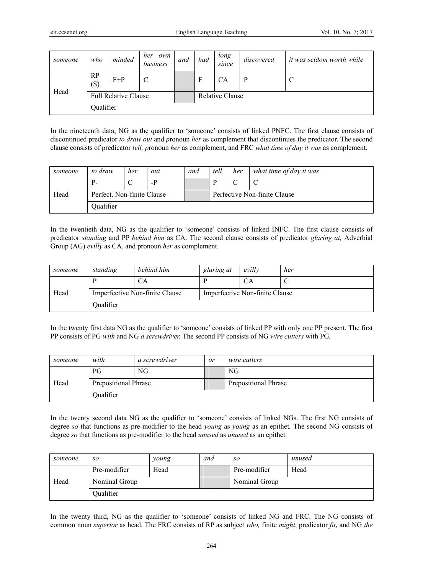| someone | who              | minded                      | own<br>her<br>business | and | had          | long<br>since   | discovered | <i>it was seldom worth while</i> |  |
|---------|------------------|-----------------------------|------------------------|-----|--------------|-----------------|------------|----------------------------------|--|
| Head    | <b>RP</b><br>(S) | $F+P$                       | C                      |     | $\mathbf{F}$ | <b>CA</b>       | D          | C                                |  |
|         |                  | <b>Full Relative Clause</b> |                        |     |              | Relative Clause |            |                                  |  |
|         | Qualifier        |                             |                        |     |              |                 |            |                                  |  |

In the nineteenth data, NG as the qualifier to 'someone' consists of linked PNFC. The first clause consists of discontinued predicator *to draw out* and *p*ronoun *her* as complement that discontinues the predicator. The second clause consists of predicator *tell, p*ronoun *her* as complement, and FRC *what time of day it was* as complement.

| someone | to draw                    | her | out  | and | tell | her | what time of day it was      |
|---------|----------------------------|-----|------|-----|------|-----|------------------------------|
|         | P-                         |     | $-P$ |     | D    |     |                              |
| Head    | Perfect. Non-finite Clause |     |      |     |      |     | Perfective Non-finite Clause |
|         | Oualifier                  |     |      |     |      |     |                              |

In the twentieth data, NG as the qualifier to 'someone' consists of linked INFC. The first clause consists of predicator *standing* and PP *behind him* as CA. The second clause consists of predicator *glaring at,* Adverbial Group (AG) *evilly* as CA, and pronoun *her* as complement.

| someone | standing  | behind him                     | glaring at                     | evilly | her |  |
|---------|-----------|--------------------------------|--------------------------------|--------|-----|--|
|         |           |                                |                                | CА     |     |  |
| Head    |           | Imperfective Non-finite Clause | Imperfective Non-finite Clause |        |     |  |
|         | Oualifier |                                |                                |        |     |  |

In the twenty first data NG as the qualifier to 'someone' consists of linked PP with only one PP present. The first PP consists of PG *with* and NG *a screwdriver.* The second PP consists of NG *wire cutters* with PG*.* 

| someone | with                        | a screwdriver | or | <i>wire cutters</i>         |
|---------|-----------------------------|---------------|----|-----------------------------|
|         | PG                          | NG            |    | NG                          |
| Head    | <b>Prepositional Phrase</b> |               |    | <b>Prepositional Phrase</b> |
|         | Qualifier                   |               |    |                             |

In the twenty second data NG as the qualifier to 'someone' consists of linked NGs. The first NG consists of degree *so* that functions as pre-modifier to the head *young* as *young* as an epithet*.* The second NG consists of degree *so* that functions as pre-modifier to the head *unused* as *unused* as an epithet*.* 

| someone | SO            | young | and | S0            | unused |
|---------|---------------|-------|-----|---------------|--------|
| Head    | Pre-modifier  | Head  |     | Pre-modifier  | Head   |
|         | Nominal Group |       |     | Nominal Group |        |
|         | Qualifier     |       |     |               |        |

In the twenty third, NG as the qualifier to 'someone' consists of linked NG and FRC. The NG consists of common noun *superior* as head. The FRC consists of RP as subject *who,* finite *might*, predicator *fit*, and NG *the*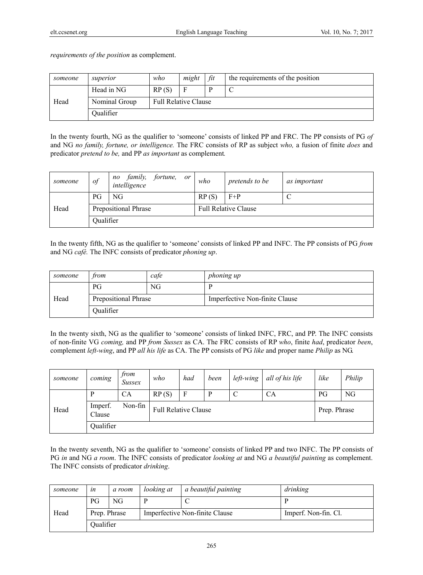*requirements of the position* as complement.

| someone | superior                                     | who   | might | fit | the requirements of the position |  |  |
|---------|----------------------------------------------|-------|-------|-----|----------------------------------|--|--|
| Head    | Head in NG                                   | RP(S) |       |     | ◡                                |  |  |
|         | Nominal Group<br><b>Full Relative Clause</b> |       |       |     |                                  |  |  |
|         | Qualifier                                    |       |       |     |                                  |  |  |

In the twenty fourth, NG as the qualifier to 'someone' consists of linked PP and FRC. The PP consists of PG *of* and NG *no family, fortune, or intelligence.* The FRC consists of RP as subject *who,* a fusion of finite *does* and predicator *pretend to be,* and PP *as important* as complement*.* 

| someone | of        | family,<br>fortune,<br>or<br>no<br>intelligence | who                         | pretends to be | as important |  |  |
|---------|-----------|-------------------------------------------------|-----------------------------|----------------|--------------|--|--|
|         | $P$ G     | NG                                              | RP(S)                       | $F+P$          |              |  |  |
| Head    |           | <b>Prepositional Phrase</b>                     | <b>Full Relative Clause</b> |                |              |  |  |
|         | Qualifier |                                                 |                             |                |              |  |  |

In the twenty fifth, NG as the qualifier to 'someone' consists of linked PP and INFC. The PP consists of PG *from*  and NG *café.* The INFC consists of predicator *phoning up*.

| someone | trom                 | cafe | <i>phoning up</i>              |  |
|---------|----------------------|------|--------------------------------|--|
| Head    | PG                   | NG   |                                |  |
|         | Prepositional Phrase |      | Imperfective Non-finite Clause |  |
|         | Qualifier            |      |                                |  |

In the twenty sixth, NG as the qualifier to 'someone' consists of linked INFC, FRC, and PP. The INFC consists of non-finite VG *coming,* and PP *from Sussex* as CA. The FRC consists of RP *who*, finite *had*, predicator *been*, complement *left-wing*, and PP *all his life* as CA. The PP consists of PG *like* and proper name *Philip* as NG.

| someone | coming                                                      | trom<br>Sussex | who   | had | been | $left\arrow wing$ | all of his life | like         | Philip |
|---------|-------------------------------------------------------------|----------------|-------|-----|------|-------------------|-----------------|--------------|--------|
| Head    |                                                             | <b>CA</b>      | RP(S) | F   | D    | ◡                 | CA              | PG           | NG     |
|         | Non-fin<br>Imperf.<br><b>Full Relative Clause</b><br>Clause |                |       |     |      |                   |                 | Prep. Phrase |        |
|         | Qualifier                                                   |                |       |     |      |                   |                 |              |        |

In the twenty seventh, NG as the qualifier to 'someone' consists of linked PP and two INFC. The PP consists of PG *in* and NG *a room*. The INFC consists of predicator *looking at* and NG *a beautiful painting* as complement. The INFC consists of predicator *drinking*.

| someone | in           | a room | looking at | a beautiful painting                                   | drinking |  |
|---------|--------------|--------|------------|--------------------------------------------------------|----------|--|
|         | PG           | NG     |            |                                                        |          |  |
| Head    | Prep. Phrase |        |            | Imperf. Non-fin. Cl.<br>Imperfective Non-finite Clause |          |  |
|         | Qualifier    |        |            |                                                        |          |  |